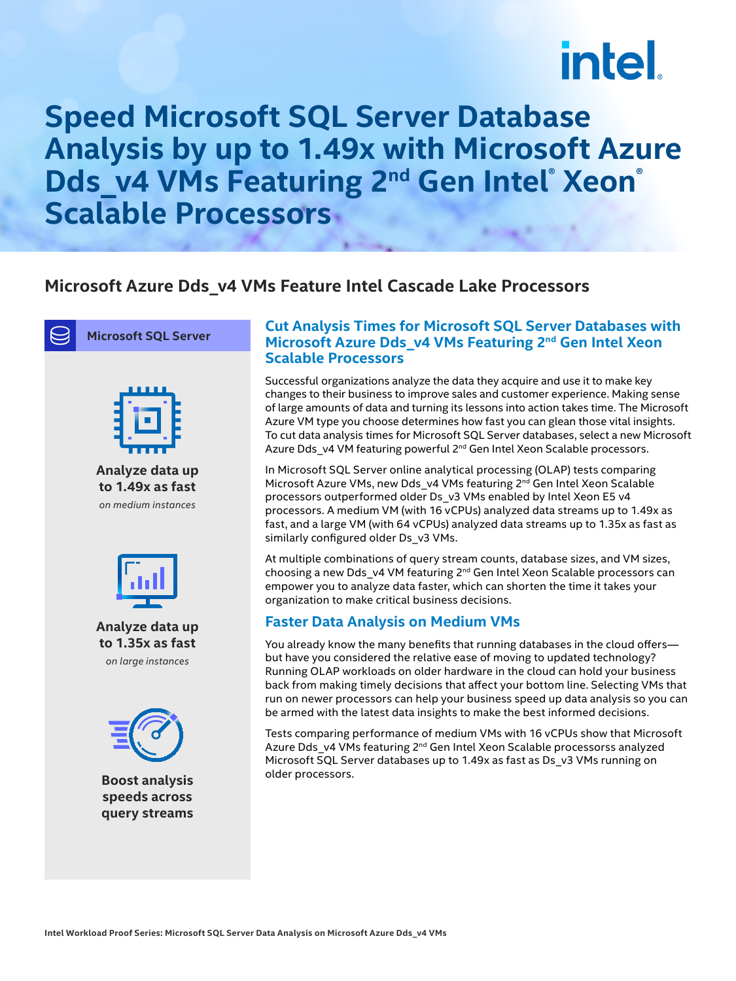# intel.

### **Speed Microsoft SQL Server Database Analysis by up to 1.49x with Microsoft Azure Dds\_v4 VMs Featuring 2<sup>nd</sup> Gen Intel® Xeon® Scalable Processors**

#### **Microsoft Azure Dds\_v4 VMs Feature Intel Cascade Lake Processors**





**Analyze data up to 1.49x as fast** *on medium instances*



**Analyze data up to 1.35x as fast** *on large instances*



**Boost analysis speeds across query streams**

#### **Cut Analysis Times for Microsoft SQL Server Databases with Microsoft Azure Dds\_v4 VMs Featuring 2nd Gen Intel Xeon Scalable Processors**

Successful organizations analyze the data they acquire and use it to make key changes to their business to improve sales and customer experience. Making sense of large amounts of data and turning its lessons into action takes time. The Microsoft Azure VM type you choose determines how fast you can glean those vital insights. To cut data analysis times for Microsoft SQL Server databases, select a new Microsoft Azure Dds v4 VM featuring powerful 2<sup>nd</sup> Gen Intel Xeon Scalable processors.

In Microsoft SQL Server online analytical processing (OLAP) tests comparing Microsoft Azure VMs, new Dds\_v4 VMs featuring 2<sup>nd</sup> Gen Intel Xeon Scalable processors outperformed older Ds\_v3 VMs enabled by Intel Xeon E5 v4 processors. A medium VM (with 16 vCPUs) analyzed data streams up to 1.49x as fast, and a large VM (with 64 vCPUs) analyzed data streams up to 1.35x as fast as similarly configured older Ds\_v3 VMs.

At multiple combinations of query stream counts, database sizes, and VM sizes, choosing a new Dds v4 VM featuring 2<sup>nd</sup> Gen Intel Xeon Scalable processors can empower you to analyze data faster, which can shorten the time it takes your organization to make critical business decisions.

#### **Faster Data Analysis on Medium VMs**

You already know the many benefits that running databases in the cloud offers but have you considered the relative ease of moving to updated technology? Running OLAP workloads on older hardware in the cloud can hold your business back from making timely decisions that affect your bottom line. Selecting VMs that run on newer processors can help your business speed up data analysis so you can be armed with the latest data insights to make the best informed decisions.

Tests comparing performance of medium VMs with 16 vCPUs show that Microsoft Azure Dds\_v4 VMs featuring 2<sup>nd</sup> Gen Intel Xeon Scalable processorss analyzed Microsoft SQL Server databases up to 1.49x as fast as Ds\_v3 VMs running on older processors.